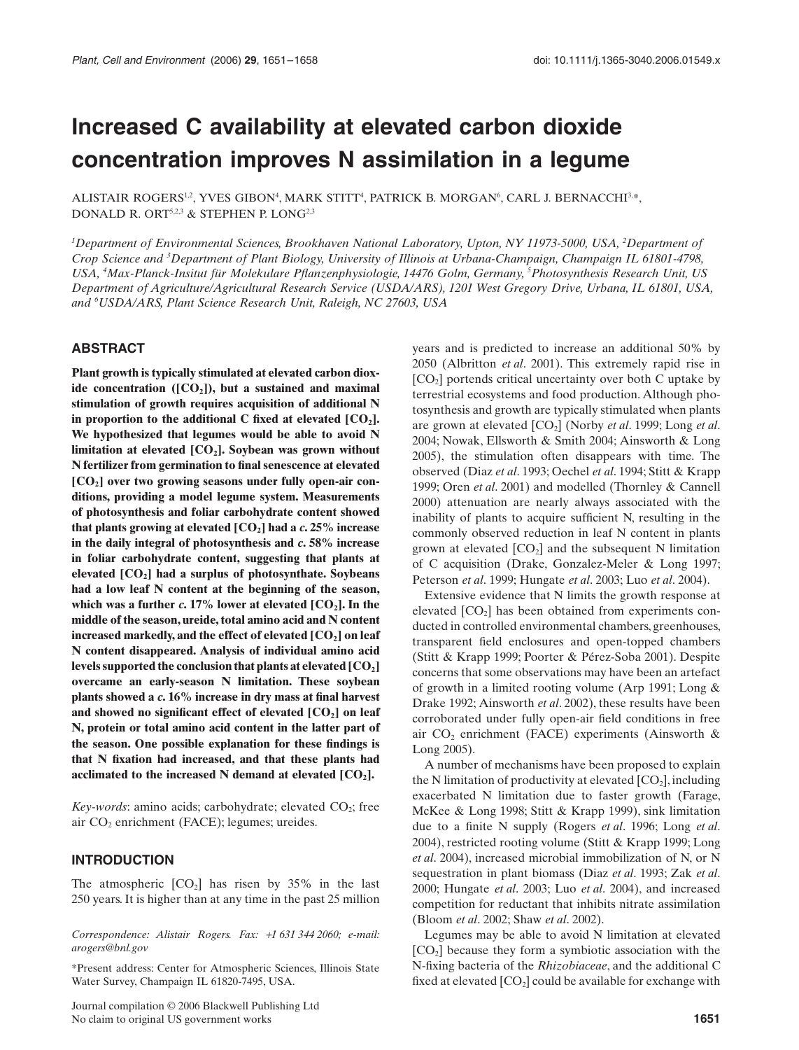# **Increased C availability at elevated carbon dioxide concentration improves N assimilation in a legume**

ALISTAIR ROGERS $^{12}$ , YVES GIBON $^4$ , MARK STITT $^4$ , PATRICK B. MORGAN $^6$ , CARL J. BERNACCHI $^{3,\ast},$ DONALD R. ORT<sup>5,2,3</sup> & STEPHEN P. LONG<sup>2,3</sup>

*1 Department of Environmental Sciences, Brookhaven National Laboratory, Upton, NY 11973-5000, USA, 2 Department of Crop Science and 3 Department of Plant Biology, University of Illinois at Urbana-Champaign, Champaign IL 61801-4798, USA, 4 Max-Planck-Insitut für Molekulare Pflanzenphysiologie, 14476 Golm, Germany, 5 Photosynthesis Research Unit, US Department of Agriculture/Agricultural Research Service (USDA/ARS), 1201 West Gregory Drive, Urbana, IL 61801, USA, and 6 USDA/ARS, Plant Science Research Unit, Raleigh, NC 27603, USA*

#### **ABSTRACT**

**Plant growth is typically stimulated at elevated carbon diox**ide concentration  $([CO<sub>2</sub>])$ , but a sustained and maximal **stimulation of growth requires acquisition of additional N** in proportion to the additional  $C$  fixed at elevated  $[CO<sub>2</sub>]$ . **We hypothesized that legumes would be able to avoid N** limitation at elevated [CO<sub>2</sub>]. Soybean was grown without **N fertilizer from germination to final senescence at elevated [CO2] over two growing seasons under fully open-air conditions, providing a model legume system. Measurements of photosynthesis and foliar carbohydrate content showed that plants growing at elevated [CO2] had a** *c***. 25% increase in the daily integral of photosynthesis and** *c***. 58% increase in foliar carbohydrate content, suggesting that plants at elevated [CO2] had a surplus of photosynthate. Soybeans had a low leaf N content at the beginning of the season,** which was a further  $c$ , 17% lower at elevated  $[CO_2]$ . In the **middle of the season, ureide, total amino acid and N content increased markedly, and the effect of elevated [CO2] on leaf N content disappeared. Analysis of individual amino acid levels supported the conclusion that plants at elevated [CO2] overcame an early-season N limitation. These soybean plants showed a** *c***. 16% increase in dry mass at final harvest** and showed no significant effect of elevated [CO<sub>2</sub>] on leaf **N, protein or total amino acid content in the latter part of the season. One possible explanation for these findings is that N fixation had increased, and that these plants had acclimated to the increased N demand at elevated [CO2].**

*Key-words*: amino acids; carbohydrate; elevated  $CO_2$ ; free air  $CO<sub>2</sub>$  enrichment (FACE); legumes; ureides.

#### **INTRODUCTION**

The atmospheric  $[CO<sub>2</sub>]$  has risen by 35% in the last 250 years. It is higher than at any time in the past 25 million

*Correspondence: Alistair Rogers. Fax:* +*1 631 344 2060; e-mail: arogers@bnl.gov*

\*Present address: Center for Atmospheric Sciences, Illinois State Water Survey, Champaign IL 61820-7495, USA.

Journal compilation © 2006 Blackwell Publishing Ltd No claim to original US government works **1651**

years and is predicted to increase an additional 50% by 2050 (Albritton *et al*. 2001). This extremely rapid rise in  $[CO<sub>2</sub>]$  portends critical uncertainty over both C uptake by terrestrial ecosystems and food production. Although photosynthesis and growth are typically stimulated when plants are grown at elevated [CO<sub>2</sub>] (Norby *et al.* 1999; Long *et al.* 2004; Nowak, Ellsworth & Smith 2004; Ainsworth & Long 2005), the stimulation often disappears with time. The observed (Diaz *et al*. 1993; Oechel *et al*. 1994; Stitt & Krapp 1999; Oren *et al*. 2001) and modelled (Thornley & Cannell 2000) attenuation are nearly always associated with the inability of plants to acquire sufficient N, resulting in the commonly observed reduction in leaf N content in plants grown at elevated  $[CO_2]$  and the subsequent N limitation of C acquisition (Drake, Gonzalez-Meler & Long 1997; Peterson *et al*. 1999; Hungate *et al*. 2003; Luo *et al*. 2004).

Extensive evidence that N limits the growth response at elevated  $[CO<sub>2</sub>]$  has been obtained from experiments conducted in controlled environmental chambers, greenhouses, transparent field enclosures and open-topped chambers (Stitt & Krapp 1999; Poorter & Pérez-Soba 2001). Despite concerns that some observations may have been an artefact of growth in a limited rooting volume (Arp 1991; Long & Drake 1992; Ainsworth *et al*. 2002), these results have been corroborated under fully open-air field conditions in free air  $CO<sub>2</sub>$  enrichment (FACE) experiments (Ainsworth & Long 2005).

A number of mechanisms have been proposed to explain the N limitation of productivity at elevated  $[CO_2]$ , including exacerbated N limitation due to faster growth (Farage, McKee & Long 1998; Stitt & Krapp 1999), sink limitation due to a finite N supply (Rogers *et al*. 1996; Long *et al*. 2004), restricted rooting volume (Stitt & Krapp 1999; Long *et al*. 2004), increased microbial immobilization of N, or N sequestration in plant biomass (Diaz *et al*. 1993; Zak *et al*. 2000; Hungate *et al*. 2003; Luo *et al*. 2004), and increased competition for reductant that inhibits nitrate assimilation (Bloom *et al*. 2002; Shaw *et al*. 2002).

Legumes may be able to avoid N limitation at elevated  $[CO<sub>2</sub>]$  because they form a symbiotic association with the N-fixing bacteria of the *Rhizobiaceae*, and the additional C fixed at elevated  $[CO_2]$  could be available for exchange with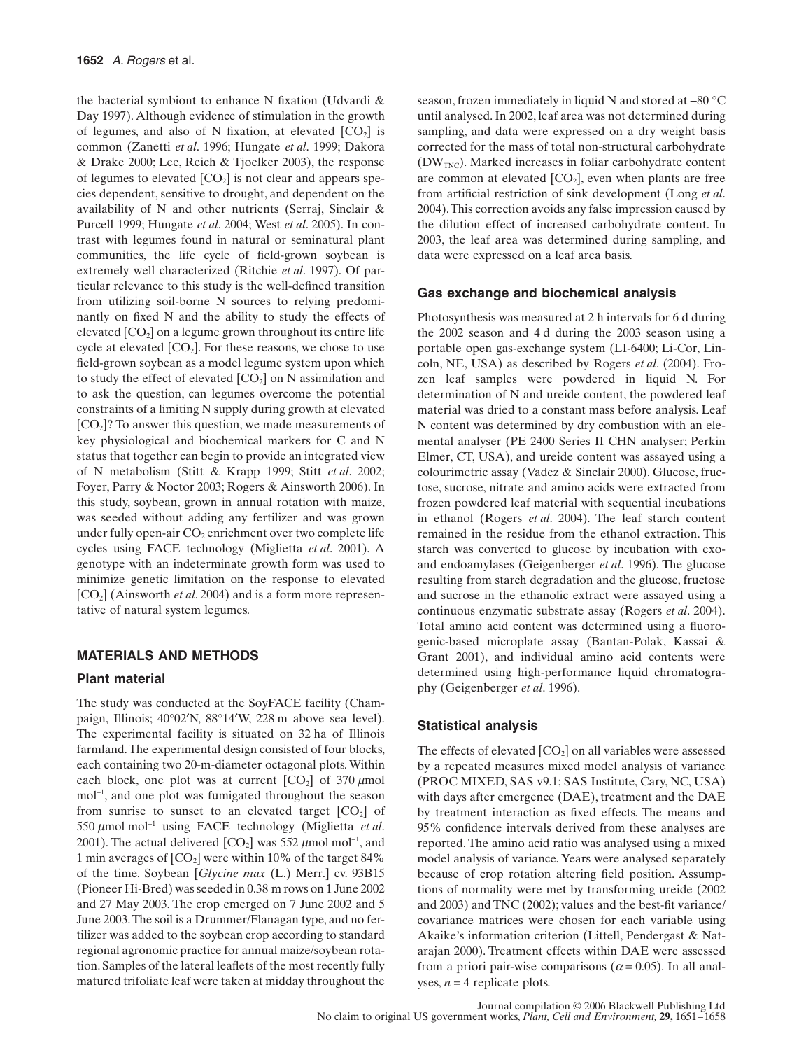the bacterial symbiont to enhance N fixation (Udvardi & Day 1997). Although evidence of stimulation in the growth of legumes, and also of N fixation, at elevated  $[CO<sub>2</sub>]$  is common (Zanetti *et al*. 1996; Hungate *et al*. 1999; Dakora & Drake 2000; Lee, Reich & Tjoelker 2003), the response of legumes to elevated  $[CO_2]$  is not clear and appears species dependent, sensitive to drought, and dependent on the availability of N and other nutrients (Serraj, Sinclair & Purcell 1999; Hungate *et al*. 2004; West *et al*. 2005). In contrast with legumes found in natural or seminatural plant communities, the life cycle of field-grown soybean is extremely well characterized (Ritchie *et al*. 1997). Of particular relevance to this study is the well-defined transition from utilizing soil-borne N sources to relying predominantly on fixed N and the ability to study the effects of elevated  $[CO<sub>2</sub>]$  on a legume grown throughout its entire life cycle at elevated  $[CO_2]$ . For these reasons, we chose to use field-grown soybean as a model legume system upon which to study the effect of elevated  $[CO_2]$  on N assimilation and to ask the question, can legumes overcome the potential constraints of a limiting N supply during growth at elevated  $[CO<sub>2</sub>]$ ? To answer this question, we made measurements of key physiological and biochemical markers for C and N status that together can begin to provide an integrated view of N metabolism (Stitt & Krapp 1999; Stitt *et al*. 2002; Foyer, Parry & Noctor 2003; Rogers & Ainsworth 2006). In this study, soybean, grown in annual rotation with maize, was seeded without adding any fertilizer and was grown under fully open-air CO<sub>2</sub> enrichment over two complete life cycles using FACE technology (Miglietta *et al*. 2001). A genotype with an indeterminate growth form was used to minimize genetic limitation on the response to elevated [CO2] (Ainsworth *et al*. 2004) and is a form more representative of natural system legumes.

## **MATERIALS AND METHODS**

## **Plant material**

The study was conducted at the SoyFACE facility (Champaign, Illinois; 40°02′N, 88°14′W, 228 m above sea level). The experimental facility is situated on 32 ha of Illinois farmland. The experimental design consisted of four blocks, each containing two 20-m-diameter octagonal plots. Within each block, one plot was at current  $[CO_2]$  of 370  $\mu$ mol mol<sup>−</sup><sup>1</sup> , and one plot was fumigated throughout the season from sunrise to sunset to an elevated target  $[CO<sub>2</sub>]$  of 550 µmol mol<sup>−</sup><sup>1</sup> using FACE technology (Miglietta *et al*. 2001). The actual delivered  $[CO_2]$  was 552  $\mu$ mol mol<sup>-1</sup>, and 1 min averages of  $[CO_2]$  were within 10% of the target 84% of the time. Soybean [*Glycine max* (L.) Merr.] cv. 93B15 (Pioneer Hi-Bred) was seeded in 0.38 m rows on 1 June 2002 and 27 May 2003. The crop emerged on 7 June 2002 and 5 June 2003. The soil is a Drummer/Flanagan type, and no fertilizer was added to the soybean crop according to standard regional agronomic practice for annual maize/soybean rotation. Samples of the lateral leaflets of the most recently fully matured trifoliate leaf were taken at midday throughout the season, frozen immediately in liquid N and stored at −80 °C until analysed. In 2002, leaf area was not determined during sampling, and data were expressed on a dry weight basis corrected for the mass of total non-structural carbohydrate  $(DW<sub>TNC</sub>)$ . Marked increases in foliar carbohydrate content are common at elevated  $[CO_2]$ , even when plants are free from artificial restriction of sink development (Long *et al*. 2004). This correction avoids any false impression caused by the dilution effect of increased carbohydrate content. In 2003, the leaf area was determined during sampling, and data were expressed on a leaf area basis.

## **Gas exchange and biochemical analysis**

Photosynthesis was measured at 2 h intervals for 6 d during the 2002 season and 4 d during the 2003 season using a portable open gas-exchange system (LI-6400; Li-Cor, Lincoln, NE, USA) as described by Rogers *et al*. (2004). Frozen leaf samples were powdered in liquid N. For determination of N and ureide content, the powdered leaf material was dried to a constant mass before analysis. Leaf N content was determined by dry combustion with an elemental analyser (PE 2400 Series II CHN analyser; Perkin Elmer, CT, USA), and ureide content was assayed using a colourimetric assay (Vadez & Sinclair 2000). Glucose, fructose, sucrose, nitrate and amino acids were extracted from frozen powdered leaf material with sequential incubations in ethanol (Rogers *et al*. 2004). The leaf starch content remained in the residue from the ethanol extraction. This starch was converted to glucose by incubation with exoand endoamylases (Geigenberger *et al*. 1996). The glucose resulting from starch degradation and the glucose, fructose and sucrose in the ethanolic extract were assayed using a continuous enzymatic substrate assay (Rogers *et al*. 2004). Total amino acid content was determined using a fluorogenic-based microplate assay (Bantan-Polak, Kassai & Grant 2001), and individual amino acid contents were determined using high-performance liquid chromatography (Geigenberger *et al*. 1996).

## **Statistical analysis**

The effects of elevated  $[CO<sub>2</sub>]$  on all variables were assessed by a repeated measures mixed model analysis of variance (PROC MIXED, SAS v9.1; SAS Institute, Cary, NC, USA) with days after emergence (DAE), treatment and the DAE by treatment interaction as fixed effects. The means and 95% confidence intervals derived from these analyses are reported. The amino acid ratio was analysed using a mixed model analysis of variance. Years were analysed separately because of crop rotation altering field position. Assumptions of normality were met by transforming ureide (2002 and 2003) and TNC (2002); values and the best-fit variance/ covariance matrices were chosen for each variable using Akaike's information criterion (Littell, Pendergast & Natarajan 2000). Treatment effects within DAE were assessed from a priori pair-wise comparisons ( $\alpha$  = 0.05). In all analyses,  $n = 4$  replicate plots.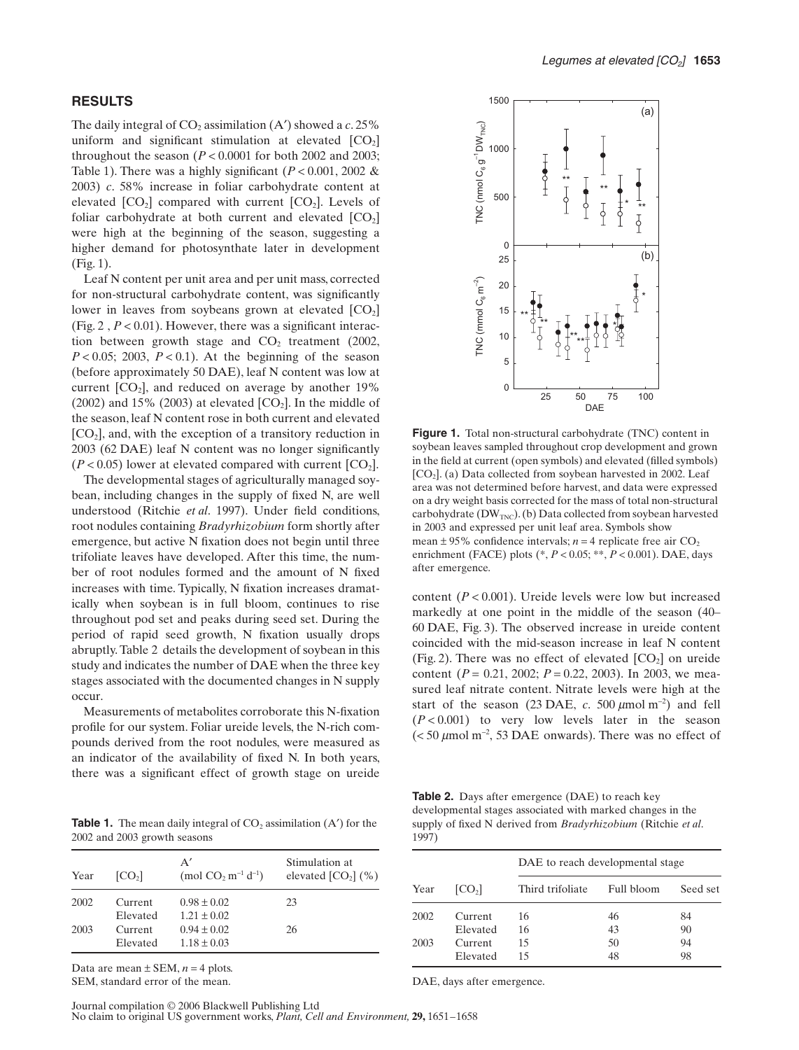## **RESULTS**

The daily integral of  $CO_2$  assimilation  $(A')$  showed a  $c. 25\%$ uniform and significant stimulation at elevated  $[CO<sub>2</sub>]$ throughout the season  $(P < 0.0001$  for both 2002 and 2003; Table 1). There was a highly significant  $(P < 0.001, 2002 \&$ 2003) *c*. 58% increase in foliar carbohydrate content at elevated  $[CO_2]$  compared with current  $[CO_2]$ . Levels of foliar carbohydrate at both current and elevated  $[CO_2]$ were high at the beginning of the season, suggesting a higher demand for photosynthate later in development (Fig. 1).

Leaf N content per unit area and per unit mass, corrected for non-structural carbohydrate content, was significantly lower in leaves from soybeans grown at elevated  $[CO<sub>2</sub>]$ (Fig. 2 , *P* < 0.01). However, there was a significant interaction between growth stage and  $CO<sub>2</sub>$  treatment (2002,  $P < 0.05$ ; 2003,  $P < 0.1$ ). At the beginning of the season (before approximately 50 DAE), leaf N content was low at current  $[CO_2]$ , and reduced on average by another 19% (2002) and 15% (2003) at elevated  $[CO_2]$ . In the middle of the season, leaf N content rose in both current and elevated  $[CO<sub>2</sub>]$ , and, with the exception of a transitory reduction in 2003 (62 DAE) leaf N content was no longer significantly  $(P < 0.05)$  lower at elevated compared with current  $[CO<sub>2</sub>]$ .

The developmental stages of agriculturally managed soybean, including changes in the supply of fixed N, are well understood (Ritchie *et al*. 1997). Under field conditions, root nodules containing *Bradyrhizobium* form shortly after emergence, but active N fixation does not begin until three trifoliate leaves have developed. After this time, the number of root nodules formed and the amount of N fixed increases with time. Typically, N fixation increases dramatically when soybean is in full bloom, continues to rise throughout pod set and peaks during seed set. During the period of rapid seed growth, N fixation usually drops abruptly. Table 2 details the development of soybean in this study and indicates the number of DAE when the three key stages associated with the documented changes in N supply occur.

Measurements of metabolites corroborate this N-fixation profile for our system. Foliar ureide levels, the N-rich compounds derived from the root nodules, were measured as an indicator of the availability of fixed N. In both years, there was a significant effect of growth stage on ureide

**Table 1.** The mean daily integral of  $CO<sub>2</sub>$  assimilation  $(A')$  for the 2002 and 2003 growth seasons

| Year | CO <sub>2</sub> | A'<br>(mol $CO_2$ m <sup>-1</sup> d <sup>-1</sup> ) | Stimulation at<br>elevated $[CO2]$ (%) |
|------|-----------------|-----------------------------------------------------|----------------------------------------|
| 2002 | Current         | $0.98 \pm 0.02$                                     | 23                                     |
|      | Elevated        | $1.21 \pm 0.02$                                     |                                        |
| 2003 | Current         | $0.94 \pm 0.02$                                     | 26                                     |
|      | Elevated        | $1.18 \pm 0.03$                                     |                                        |

Data are mean  $\pm$  SEM,  $n = 4$  plots. SEM, standard error of the mean.



Figure 1. Total<br>
solutions and the field at currence.<br>
The field at currence.<br>
The field at currence.<br>
Consider the field at currence.<br>
Consider the field at currence.<br>
Consider the field at currence.<br>
The carbohydrate (D **Figure 1.** Total non-structural carbohydrate (TNC) content in soybean leaves sampled throughout crop development and grown in the field at current (open symbols) and elevated (filled symbols) [CO<sub>2</sub>]. (a) Data collected from soybean harvested in 2002. Leaf area was not determined before harvest, and data were expressed on a dry weight basis corrected for the mass of total non-structural carbohydrate ( $DW_{TNC}$ ). (b) Data collected from soybean harvested in 2003 and expressed per unit leaf area. Symbols show mean  $\pm$  95% confidence intervals; *n* = 4 replicate free air  $CO_2$ enrichment (FACE) plots (\*, *P* < 0.05; \*\*, *P* < 0.001). DAE, days after emergence.

content (*P* < 0.001). Ureide levels were low but increased markedly at one point in the middle of the season (40– 60 DAE, Fig. 3). The observed increase in ureide content coincided with the mid-season increase in leaf N content (Fig. 2). There was no effect of elevated  $[CO<sub>2</sub>]$  on ureide content (*P* = 0.21, 2002; *P* = 0.22, 2003). In 2003, we measured leaf nitrate content. Nitrate levels were high at the start of the season (23 DAE,  $c$ . 500  $\mu$ mol m<sup>-2</sup>) and fell  $(P<0.001)$  to very low levels later in the season  $\approx$  50  $\mu$ mol m<sup>-2</sup>, 53 DAE onwards). There was no effect of

**Table 2.** Days after emergence (DAE) to reach key developmental stages associated with marked changes in the supply of fixed N derived from *Bradyrhizobium* (Ritchie *et al*. 1997)

| Year | [CO <sub>2</sub> ]  | DAE to reach developmental stage |            |          |
|------|---------------------|----------------------------------|------------|----------|
|      |                     | Third trifoliate                 | Full bloom | Seed set |
| 2002 | Current             | 16                               | 46         | 84       |
| 2003 | Elevated<br>Current | 16<br>15                         | 43<br>50   | 90<br>94 |
|      | Elevated            | 15                               | 48         | 98       |

DAE, days after emergence.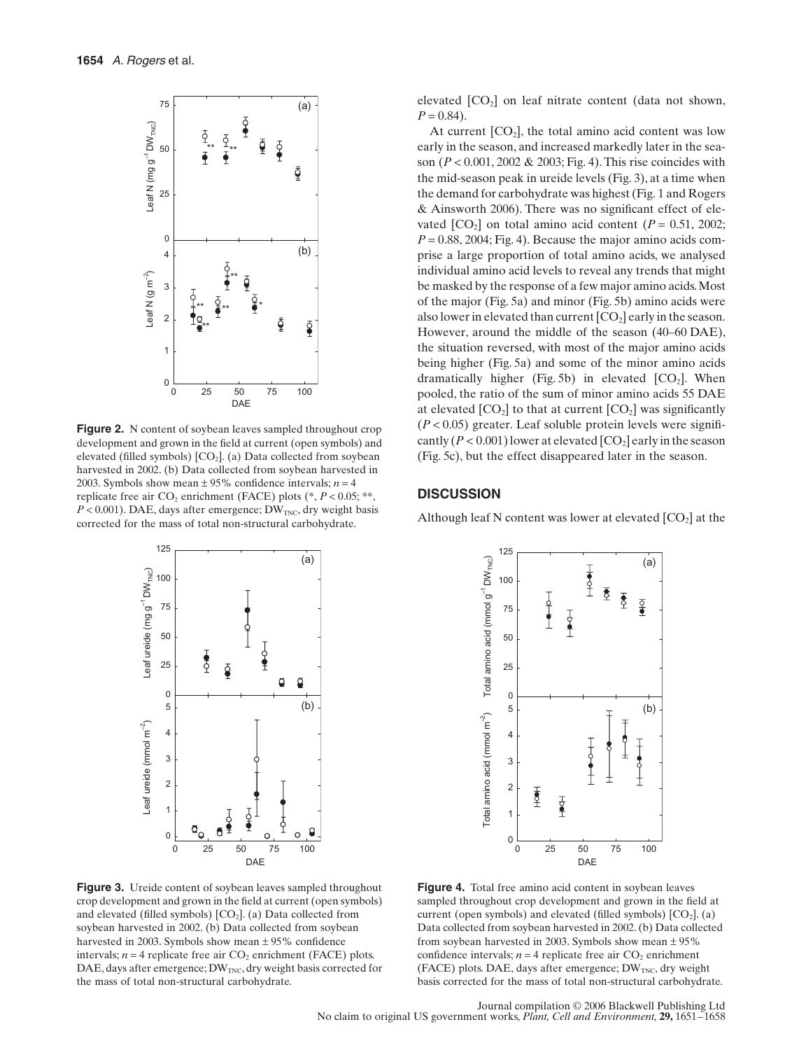

**Figure 2.** N content of soybean leaves sampled throughout crop development and grown in the field at current (open symbols) and elevated (filled symbols)  $[CO_2]$ . (a) Data collected from soybean harvested in 2002. (b) Data collected from soybean harvested in 2003. Symbols show mean  $\pm$  95% confidence intervals; *n* = 4 replicate free air  $CO_2$  enrichment (FACE) plots ( $\degree$ ,  $P < 0.05$ ;  $\degree$  $\degree$ ,  $P < 0.001$ ). DAE, days after emergence; DW<sub>TNC</sub>, dry weight basis



Figure 3. Ureide content of soybean leaves sampled throughout crop development and grown in the field at current (open symbols) and elevated (filled symbols)  $[CO<sub>2</sub>]$ . (a) Data collected from soybean harvested in 2002. (b) Data collected from soybean harvested in 2003. Symbols show mean ± 95% confidence intervals;  $n = 4$  replicate free air  $CO_2$  enrichment (FACE) plots. DAE, days after emergence;  $DW_{TNC}$ , dry weight basis corrected for

elevated  $[CO<sub>2</sub>]$  on leaf nitrate content (data not shown,  $P = 0.84$ .

At current  $[CO_2]$ , the total amino acid content was low early in the season, and increased markedly later in the season (*P* < 0.001, 2002 & 2003; Fig. 4). This rise coincides with the mid-season peak in ureide levels (Fig. 3), at a time when the demand for carbohydrate was highest (Fig. 1 and Rogers & Ainsworth 2006). There was no significant effect of elevated  $[CO_2]$  on total amino acid content  $(P = 0.51, 2002;$  $P = 0.88, 2004$ ; Fig. 4). Because the major amino acids comprise a large proportion of total amino acids, we analysed individual amino acid levels to reveal any trends that might be masked by the response of a few major amino acids. Most of the major (Fig. 5a) and minor (Fig. 5b) amino acids were also lower in elevated than current  $[CO<sub>2</sub>]$  early in the season. However, around the middle of the season (40–60 DAE), the situation reversed, with most of the major amino acids being higher (Fig. 5a) and some of the minor amino acids dramatically higher (Fig. 5b) in elevated  $[CO<sub>2</sub>]$ . When pooled, the ratio of the sum of minor amino acids 55 DAE at elevated  $[CO_2]$  to that at current  $[CO_2]$  was significantly  $(P < 0.05)$  greater. Leaf soluble protein levels were significantly  $(P < 0.001)$  lower at elevated  $[CO<sub>2</sub>]$  early in the season (Fig. 5c), but the effect disappeared later in the season.

#### **DISCUSSION**

Although leaf N content was lower at elevated  $[CO<sub>2</sub>]$  at the



**Figure 4.** Total free amino acid content in soybean leaves sampled throughout crop development and grown in the field at current (open symbols) and elevated (filled symbols)  $[CO<sub>2</sub>]$ . (a) Data collected from soybean harvested in 2002. (b) Data collected from soybean harvested in 2003. Symbols show mean  $\pm$  95% confidence intervals;  $n = 4$  replicate free air  $CO_2$  enrichment (FACE) plots. DAE, days after emergence;  $DW_{TNC}$ , dry weight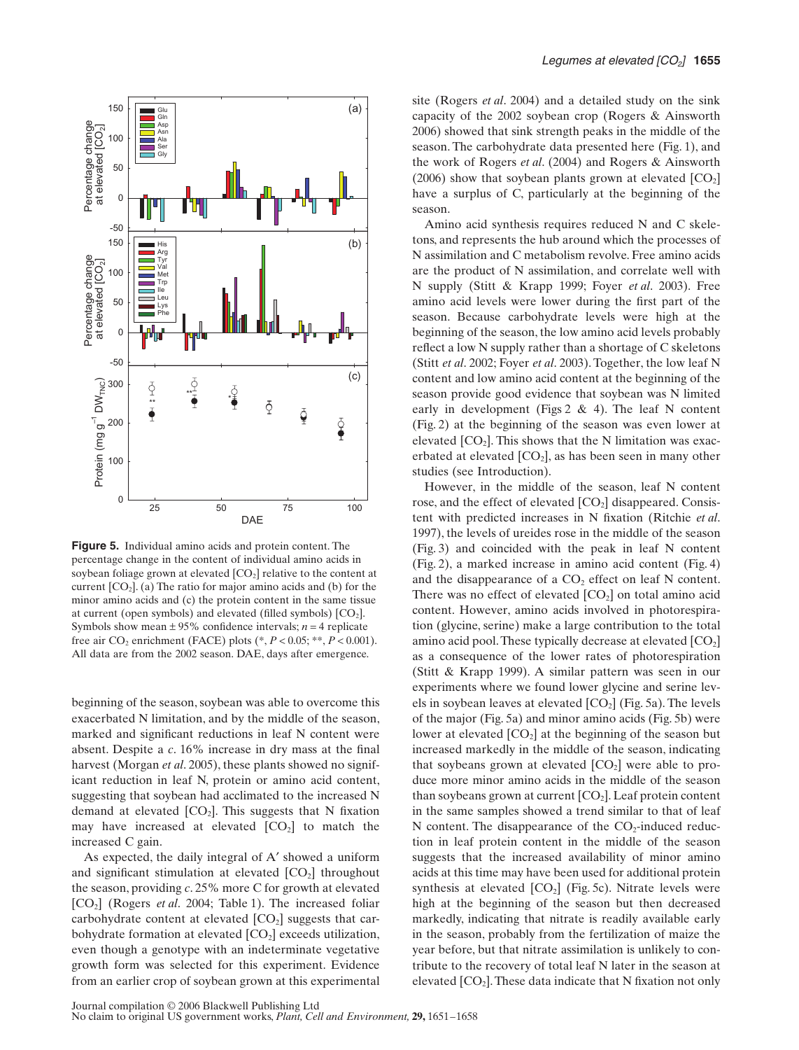

**Figure 5.** Individual amino acids and protein content. The percentage change in the content of individual amino acids in soybean foliage grown at elevated  $[CO_2]$  relative to the content at current  $[CO<sub>2</sub>]$ . (a) The ratio for major amino acids and (b) for the minor amino acids and (c) the protein content in the same tissue at current (open symbols) and elevated (filled symbols)  $[CO<sub>2</sub>]$ . Symbols show mean  $\pm$  95% confidence intervals; *n* = 4 replicate free air  $CO_2$  enrichment (FACE) plots ( $P < 0.05$ ;  $**$ ,  $P < 0.001$ ). All data are from the 2002 season. DAE, days after emergence.

beginning of the season, soybean was able to overcome this exacerbated N limitation, and by the middle of the season, marked and significant reductions in leaf N content were absent. Despite a *c*. 16% increase in dry mass at the final harvest (Morgan *et al*. 2005), these plants showed no significant reduction in leaf N, protein or amino acid content, suggesting that soybean had acclimated to the increased N demand at elevated  $[CO_2]$ . This suggests that N fixation may have increased at elevated  $[CO<sub>2</sub>]$  to match the increased C gain.

As expected, the daily integral of A′ showed a uniform and significant stimulation at elevated  $[CO<sub>2</sub>]$  throughout the season, providing *c*. 25% more C for growth at elevated [CO<sub>2</sub>] (Rogers *et al.* 2004; Table 1). The increased foliar carbohydrate content at elevated  $[CO<sub>2</sub>]$  suggests that carbohydrate formation at elevated  $[CO<sub>2</sub>]$  exceeds utilization, even though a genotype with an indeterminate vegetative growth form was selected for this experiment. Evidence from an earlier crop of soybean grown at this experimental

site (Rogers *et al*. 2004) and a detailed study on the sink capacity of the 2002 soybean crop (Rogers & Ainsworth 2006) showed that sink strength peaks in the middle of the season. The carbohydrate data presented here (Fig. 1), and the work of Rogers *et al*. (2004) and Rogers & Ainsworth (2006) show that soybean plants grown at elevated  $[CO<sub>2</sub>]$ have a surplus of C, particularly at the beginning of the season.

Amino acid synthesis requires reduced N and C skeletons, and represents the hub around which the processes of N assimilation and C metabolism revolve. Free amino acids are the product of N assimilation, and correlate well with N supply (Stitt & Krapp 1999; Foyer *et al*. 2003). Free amino acid levels were lower during the first part of the season. Because carbohydrate levels were high at the beginning of the season, the low amino acid levels probably reflect a low N supply rather than a shortage of C skeletons (Stitt *et al*. 2002; Foyer *et al*. 2003). Together, the low leaf N content and low amino acid content at the beginning of the season provide good evidence that soybean was N limited early in development (Figs  $2 \& 4$ ). The leaf N content (Fig. 2) at the beginning of the season was even lower at elevated  $[CO<sub>2</sub>]$ . This shows that the N limitation was exacerbated at elevated  $[CO_2]$ , as has been seen in many other studies (see Introduction).

However, in the middle of the season, leaf N content rose, and the effect of elevated  $[CO<sub>2</sub>]$  disappeared. Consistent with predicted increases in N fixation (Ritchie *et al*. 1997), the levels of ureides rose in the middle of the season (Fig. 3) and coincided with the peak in leaf N content (Fig. 2), a marked increase in amino acid content (Fig. 4) and the disappearance of a  $CO<sub>2</sub>$  effect on leaf N content. There was no effect of elevated  $[CO<sub>2</sub>]$  on total amino acid content. However, amino acids involved in photorespiration (glycine, serine) make a large contribution to the total amino acid pool. These typically decrease at elevated  $[CO<sub>2</sub>]$ as a consequence of the lower rates of photorespiration (Stitt & Krapp 1999). A similar pattern was seen in our experiments where we found lower glycine and serine levels in soybean leaves at elevated  $[CO<sub>2</sub>]$  (Fig. 5a). The levels of the major (Fig. 5a) and minor amino acids (Fig. 5b) were lower at elevated  $[CO<sub>2</sub>]$  at the beginning of the season but increased markedly in the middle of the season, indicating that soybeans grown at elevated  $[CO<sub>2</sub>]$  were able to produce more minor amino acids in the middle of the season than soybeans grown at current  $[CO<sub>2</sub>]$ . Leaf protein content in the same samples showed a trend similar to that of leaf N content. The disappearance of the  $CO<sub>2</sub>$ -induced reduction in leaf protein content in the middle of the season suggests that the increased availability of minor amino acids at this time may have been used for additional protein synthesis at elevated  $[CO_2]$  (Fig. 5c). Nitrate levels were high at the beginning of the season but then decreased markedly, indicating that nitrate is readily available early in the season, probably from the fertilization of maize the year before, but that nitrate assimilation is unlikely to contribute to the recovery of total leaf N later in the season at elevated  $[CO<sub>2</sub>]$ . These data indicate that N fixation not only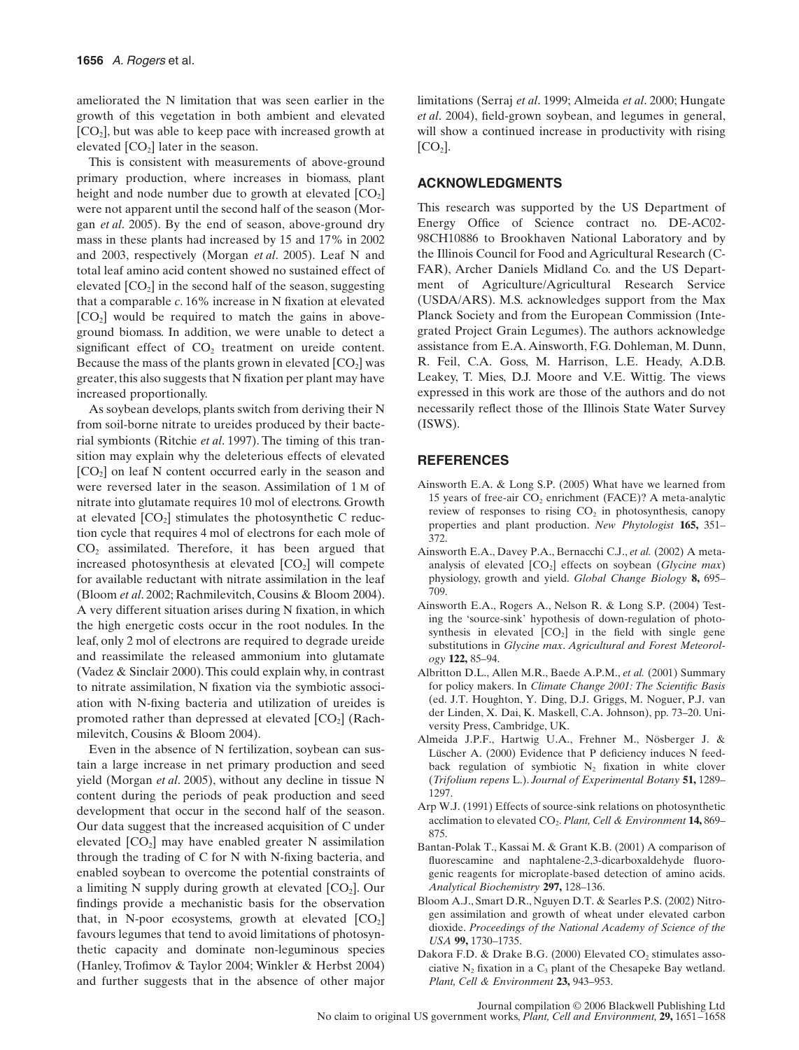ameliorated the N limitation that was seen earlier in the growth of this vegetation in both ambient and elevated  $[CO<sub>2</sub>]$ , but was able to keep pace with increased growth at elevated  $[CO<sub>2</sub>]$  later in the season.

This is consistent with measurements of above-ground primary production, where increases in biomass, plant height and node number due to growth at elevated  $[CO<sub>2</sub>]$ were not apparent until the second half of the season (Morgan *et al*. 2005). By the end of season, above-ground dry mass in these plants had increased by 15 and 17% in 2002 and 2003, respectively (Morgan *et al*. 2005). Leaf N and total leaf amino acid content showed no sustained effect of elevated  $[CO<sub>2</sub>]$  in the second half of the season, suggesting that a comparable *c*. 16% increase in N fixation at elevated  $[CO<sub>2</sub>]$  would be required to match the gains in aboveground biomass. In addition, we were unable to detect a significant effect of  $CO<sub>2</sub>$  treatment on ureide content. Because the mass of the plants grown in elevated  $[CO<sub>2</sub>]$  was greater, this also suggests that N fixation per plant may have increased proportionally.

As soybean develops, plants switch from deriving their N from soil-borne nitrate to ureides produced by their bacterial symbionts (Ritchie *et al*. 1997). The timing of this transition may explain why the deleterious effects of elevated  $[CO<sub>2</sub>]$  on leaf N content occurred early in the season and were reversed later in the season. Assimilation of 1 M of nitrate into glutamate requires 10 mol of electrons. Growth at elevated  $[CO<sub>2</sub>]$  stimulates the photosynthetic C reduction cycle that requires 4 mol of electrons for each mole of  $CO<sub>2</sub>$  assimilated. Therefore, it has been argued that increased photosynthesis at elevated  $[CO<sub>2</sub>]$  will compete for available reductant with nitrate assimilation in the leaf (Bloom *et al*. 2002; Rachmilevitch, Cousins & Bloom 2004). A very different situation arises during N fixation, in which the high energetic costs occur in the root nodules. In the leaf, only 2 mol of electrons are required to degrade ureide and reassimilate the released ammonium into glutamate (Vadez & Sinclair 2000). This could explain why, in contrast to nitrate assimilation, N fixation via the symbiotic association with N-fixing bacteria and utilization of ureides is promoted rather than depressed at elevated  $[CO<sub>2</sub>]$  (Rachmilevitch, Cousins & Bloom 2004).

Even in the absence of N fertilization, soybean can sustain a large increase in net primary production and seed yield (Morgan *et al*. 2005), without any decline in tissue N content during the periods of peak production and seed development that occur in the second half of the season. Our data suggest that the increased acquisition of C under elevated  $[CO<sub>2</sub>]$  may have enabled greater N assimilation through the trading of C for N with N-fixing bacteria, and enabled soybean to overcome the potential constraints of a limiting N supply during growth at elevated  $[CO<sub>2</sub>]$ . Our findings provide a mechanistic basis for the observation that, in N-poor ecosystems, growth at elevated  $[CO<sub>2</sub>]$ favours legumes that tend to avoid limitations of photosynthetic capacity and dominate non-leguminous species (Hanley, Trofimov & Taylor 2004; Winkler & Herbst 2004) and further suggests that in the absence of other major

limitations (Serraj *et al*. 1999; Almeida *et al*. 2000; Hungate *et al*. 2004), field-grown soybean, and legumes in general, will show a continued increase in productivity with rising  $[CO<sub>2</sub>].$ 

## **ACKNOWLEDGMENTS**

This research was supported by the US Department of Energy Office of Science contract no. DE-AC02- 98CH10886 to Brookhaven National Laboratory and by the Illinois Council for Food and Agricultural Research (C-FAR), Archer Daniels Midland Co. and the US Department of Agriculture/Agricultural Research Service (USDA/ARS). M.S. acknowledges support from the Max Planck Society and from the European Commission (Integrated Project Grain Legumes). The authors acknowledge assistance from E.A. Ainsworth, F.G. Dohleman, M. Dunn, R. Feil, C.A. Goss, M. Harrison, L.E. Heady, A.D.B. Leakey, T. Mies, D.J. Moore and V.E. Wittig. The views expressed in this work are those of the authors and do not necessarily reflect those of the Illinois State Water Survey (ISWS).

#### **REFERENCES**

- Ainsworth E.A. & Long S.P. (2005) What have we learned from 15 years of free-air  $CO<sub>2</sub>$  enrichment (FACE)? A meta-analytic review of responses to rising  $CO<sub>2</sub>$  in photosynthesis, canopy properties and plant production. *New Phytologist* **165,** 351– 372.
- Ainsworth E.A., Davey P.A., Bernacchi C.J., *et al.* (2002) A metaanalysis of elevated  $[CO_2]$  effects on soybean (*Glycine max*) physiology, growth and yield. *Global Change Biology* **8,** 695– 709.
- Ainsworth E.A., Rogers A., Nelson R. & Long S.P. (2004) Testing the 'source-sink' hypothesis of down-regulation of photosynthesis in elevated  $[CO_2]$  in the field with single gene substitutions in *Glycine max*. *Agricultural and Forest Meteorology* **122,** 85–94.
- Albritton D.L., Allen M.R., Baede A.P.M., *et al.* (2001) Summary for policy makers. In *Climate Change 2001: The Scientific Basis* (ed. J.T. Houghton, Y. Ding, D.J. Griggs, M. Noguer, P.J. van der Linden, X. Dai, K. Maskell, C.A. Johnson), pp. 73–20. University Press, Cambridge, UK.
- Almeida J.P.F., Hartwig U.A., Frehner M., Nösberger J. & Lüscher A. (2000) Evidence that P deficiency induces N feedback regulation of symbiotic  $N_2$  fixation in white clover (*Trifolium repens* L.). *Journal of Experimental Botany* **51,** 1289– 1297.
- Arp W.J. (1991) Effects of source-sink relations on photosynthetic acclimation to elevated CO2. *Plant, Cell & Environment* **14,** 869– 875.
- Bantan-Polak T., Kassai M. & Grant K.B. (2001) A comparison of fluorescamine and naphtalene-2,3-dicarboxaldehyde fluorogenic reagents for microplate-based detection of amino acids. *Analytical Biochemistry* **297,** 128–136.
- Bloom A.J., Smart D.R., Nguyen D.T. & Searles P.S. (2002) Nitrogen assimilation and growth of wheat under elevated carbon dioxide. *Proceedings of the National Academy of Science of the USA* **99,** 1730–1735.
- Dakora F.D. & Drake B.G. (2000) Elevated  $CO<sub>2</sub>$  stimulates associative  $N_2$  fixation in a  $C_3$  plant of the Chesapeke Bay wetland. *Plant, Cell & Environment* **23,** 943–953.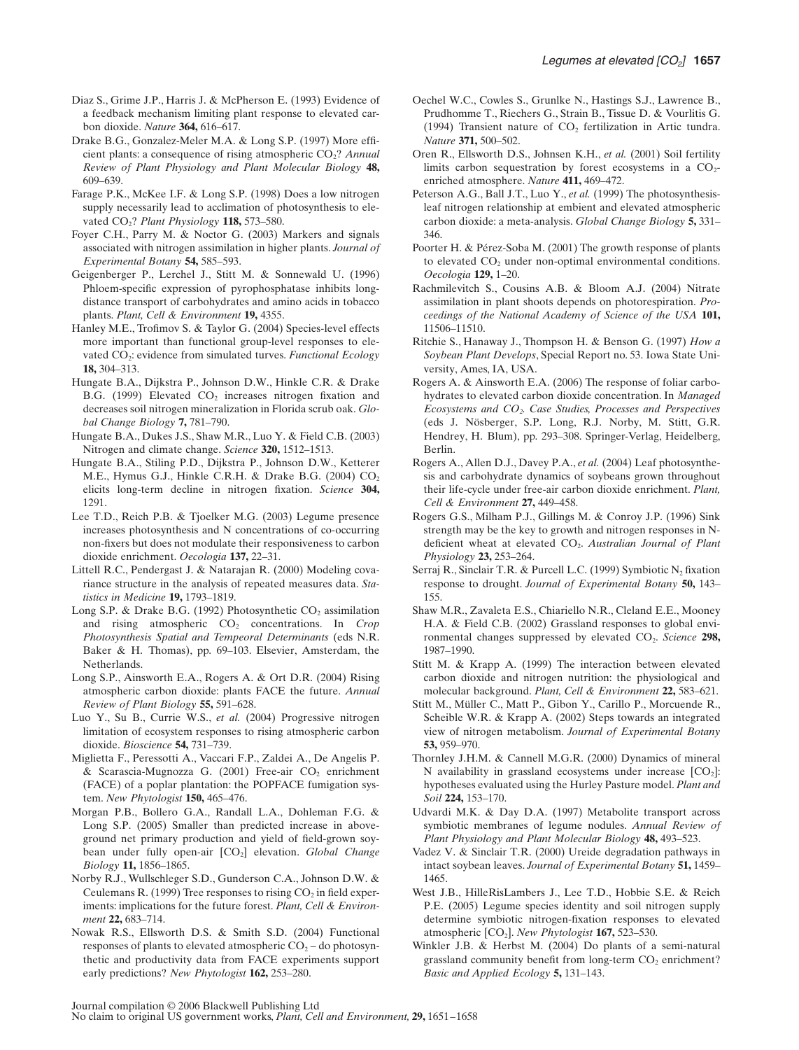- Diaz S., Grime J.P., Harris J. & McPherson E. (1993) Evidence of a feedback mechanism limiting plant response to elevated carbon dioxide. *Nature* **364,** 616–617.
- Drake B.G., Gonzalez-Meler M.A. & Long S.P. (1997) More efficient plants: a consequence of rising atmospheric CO<sub>2</sub>? *Annual Review of Plant Physiology and Plant Molecular Biology* **48,** 609–639.
- Farage P.K., McKee I.F. & Long S.P. (1998) Does a low nitrogen supply necessarily lead to acclimation of photosynthesis to elevated CO2? *Plant Physiology* **118,** 573–580.
- Foyer C.H., Parry M. & Noctor G. (2003) Markers and signals associated with nitrogen assimilation in higher plants. *Journal of Experimental Botany* **54,** 585–593.
- Geigenberger P., Lerchel J., Stitt M. & Sonnewald U. (1996) Phloem-specific expression of pyrophosphatase inhibits longdistance transport of carbohydrates and amino acids in tobacco plants. *Plant, Cell & Environment* **19,** 4355.
- Hanley M.E., Trofimov S. & Taylor G. (2004) Species-level effects more important than functional group-level responses to elevated CO<sub>2</sub>: evidence from simulated turves. *Functional Ecology* **18,** 304–313.
- Hungate B.A., Dijkstra P., Johnson D.W., Hinkle C.R. & Drake B.G. (1999) Elevated CO<sub>2</sub> increases nitrogen fixation and decreases soil nitrogen mineralization in Florida scrub oak. *Global Change Biology* **7,** 781–790.
- Hungate B.A., Dukes J.S., Shaw M.R., Luo Y. & Field C.B. (2003) Nitrogen and climate change. *Science* **320,** 1512–1513.
- Hungate B.A., Stiling P.D., Dijkstra P., Johnson D.W., Ketterer M.E., Hymus G.J., Hinkle C.R.H. & Drake B.G.  $(2004)$  CO<sub>2</sub> elicits long-term decline in nitrogen fixation. *Science* **304,** 1291.
- Lee T.D., Reich P.B. & Tjoelker M.G. (2003) Legume presence increases photosynthesis and N concentrations of co-occurring non-fixers but does not modulate their responsiveness to carbon dioxide enrichment. *Oecologia* **137,** 22–31.
- Littell R.C., Pendergast J. & Natarajan R. (2000) Modeling covariance structure in the analysis of repeated measures data. *Statistics in Medicine* **19,** 1793–1819.
- Long S.P. & Drake B.G. (1992) Photosynthetic  $CO_2$  assimilation and rising atmospheric CO<sub>2</sub> concentrations. In *Crop Photosynthesis Spatial and Tempeoral Determinants* (eds N.R. Baker & H. Thomas), pp. 69–103. Elsevier, Amsterdam, the Netherlands.
- Long S.P., Ainsworth E.A., Rogers A. & Ort D.R. (2004) Rising atmospheric carbon dioxide: plants FACE the future. *Annual Review of Plant Biology* **55,** 591–628.
- Luo Y., Su B., Currie W.S., *et al.* (2004) Progressive nitrogen limitation of ecosystem responses to rising atmospheric carbon dioxide. *Bioscience* **54,** 731–739.
- Miglietta F., Peressotti A., Vaccari F.P., Zaldei A., De Angelis P. & Scarascia-Mugnozza G. (2001) Free-air  $CO<sub>2</sub>$  enrichment (FACE) of a poplar plantation: the POPFACE fumigation system. *New Phytologist* **150,** 465–476.
- Morgan P.B., Bollero G.A., Randall L.A., Dohleman F.G. & Long S.P. (2005) Smaller than predicted increase in aboveground net primary production and yield of field-grown soybean under fully open-air  $[CO_2]$  elevation. *Global Change Biology* **11,** 1856–1865.
- Norby R.J., Wullschleger S.D., Gunderson C.A., Johnson D.W. & Ceulemans R. (1999) Tree responses to rising  $CO<sub>2</sub>$  in field experiments: implications for the future forest. *Plant, Cell & Environment* **22,** 683–714.
- Nowak R.S., Ellsworth D.S. & Smith S.D. (2004) Functional responses of plants to elevated atmospheric  $CO<sub>2</sub> -$  do photosynthetic and productivity data from FACE experiments support early predictions? *New Phytologist* **162,** 253–280.
- Oechel W.C., Cowles S., Grunlke N., Hastings S.J., Lawrence B., Prudhomme T., Riechers G., Strain B., Tissue D. & Vourlitis G. (1994) Transient nature of  $CO<sub>2</sub>$  fertilization in Artic tundra. *Nature* **371,** 500–502.
- Oren R., Ellsworth D.S., Johnsen K.H., *et al.* (2001) Soil fertility limits carbon sequestration by forest ecosystems in a  $CO<sub>2</sub>$ enriched atmosphere. *Nature* **411,** 469–472.
- Peterson A.G., Ball J.T., Luo Y., *et al.* (1999) The photosynthesisleaf nitrogen relationship at embient and elevated atmospheric carbon dioxide: a meta-analysis. *Global Change Biology* **5,** 331– 346.
- Poorter H. & Pérez-Soba M. (2001) The growth response of plants to elevated  $CO<sub>2</sub>$  under non-optimal environmental conditions. *Oecologia* **129,** 1–20.
- Rachmilevitch S., Cousins A.B. & Bloom A.J. (2004) Nitrate assimilation in plant shoots depends on photorespiration. *Proceedings of the National Academy of Science of the USA* **101,** 11506–11510.
- Ritchie S., Hanaway J., Thompson H. & Benson G. (1997) *How a Soybean Plant Develops*, Special Report no. 53. Iowa State University, Ames, IA, USA.
- Rogers A. & Ainsworth E.A. (2006) The response of foliar carbohydrates to elevated carbon dioxide concentration. In *Managed Ecosystems and CO2. Case Studies, Processes and Perspectives* (eds J. Nösberger, S.P. Long, R.J. Norby, M. Stitt, G.R. Hendrey, H. Blum), pp. 293–308. Springer-Verlag, Heidelberg, Berlin.
- Rogers A., Allen D.J., Davey P.A., *et al.* (2004) Leaf photosynthesis and carbohydrate dynamics of soybeans grown throughout their life-cycle under free-air carbon dioxide enrichment. *Plant, Cell & Environment* **27,** 449–458.
- Rogers G.S., Milham P.J., Gillings M. & Conroy J.P. (1996) Sink strength may be the key to growth and nitrogen responses in Ndeficient wheat at elevated CO2. *Australian Journal of Plant Physiology* **23,** 253–264.
- Serraj R., Sinclair T.R. & Purcell L.C. (1999) Symbiotic  $N_2$  fixation response to drought. *Journal of Experimental Botany* **50,** 143– 155.
- Shaw M.R., Zavaleta E.S., Chiariello N.R., Cleland E.E., Mooney H.A. & Field C.B. (2002) Grassland responses to global environmental changes suppressed by elevated CO<sub>2</sub>. *Science* 298, 1987–1990.
- Stitt M. & Krapp A. (1999) The interaction between elevated carbon dioxide and nitrogen nutrition: the physiological and molecular background. *Plant, Cell & Environment* **22,** 583–621.
- Stitt M., Müller C., Matt P., Gibon Y., Carillo P., Morcuende R., Scheible W.R. & Krapp A. (2002) Steps towards an integrated view of nitrogen metabolism. *Journal of Experimental Botany* **53,** 959–970.
- Thornley J.H.M. & Cannell M.G.R. (2000) Dynamics of mineral N availability in grassland ecosystems under increase  $[CO<sub>2</sub>]$ : hypotheses evaluated using the Hurley Pasture model. *Plant and Soil* **224,** 153–170.
- Udvardi M.K. & Day D.A. (1997) Metabolite transport across symbiotic membranes of legume nodules. *Annual Review of Plant Physiology and Plant Molecular Biology* **48,** 493–523.
- Vadez V. & Sinclair T.R. (2000) Ureide degradation pathways in intact soybean leaves. *Journal of Experimental Botany* **51,** 1459– 1465.
- West J.B., HilleRisLambers J., Lee T.D., Hobbie S.E. & Reich P.E. (2005) Legume species identity and soil nitrogen supply determine symbiotic nitrogen-fixation responses to elevated atmospheric [CO2]. *New Phytologist* **167,** 523–530.
- Winkler J.B. & Herbst M. (2004) Do plants of a semi-natural grassland community benefit from long-term  $CO<sub>2</sub>$  enrichment? *Basic and Applied Ecology* **5,** 131–143.